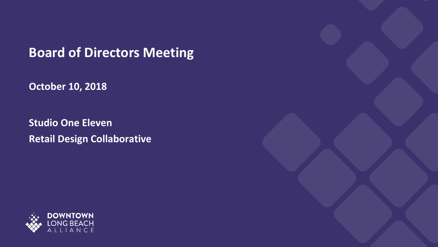**Board of Directors Meeting**

**October 10, 2018**

**Studio One Eleven Retail Design Collaborative**

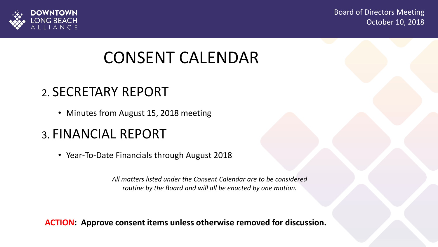



### CONSENT CALENDAR

#### 2. SECRETARY REPORT

• Minutes from August 15, 2018 meeting

#### 3. FINANCIAL REPORT

• Year-To-Date Financials through August 2018

*All matters listed under the Consent Calendar are to be considered routine by the Board and will all be enacted by one motion.* 

**ACTION: Approve consent items unless otherwise removed for discussion.**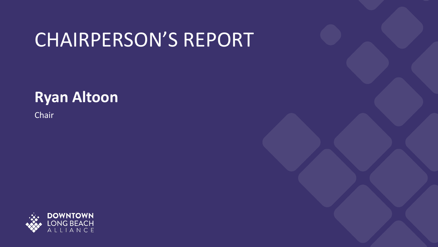# CHAIRPERSON'S REPORT

### **Ryan Altoon**

Chair

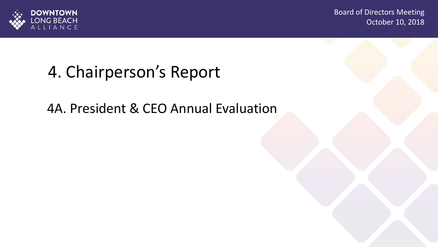

## 4. Chairperson's Report

4A. President & CEO Annual Evaluation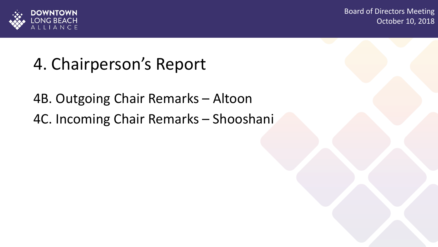

# 4. Chairperson's Report

4B. Outgoing Chair Remarks – Altoon 4C. Incoming Chair Remarks – Shooshani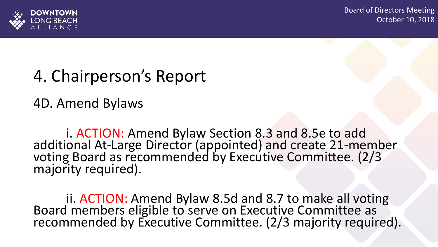

### 4. Chairperson's Report

4D. Amend Bylaws

i. ACTION: Amend Bylaw Section 8.3 and 8.5e to add additional At-Large Director (appointed) and create 21-member voting Board as recommended by Executive Committee. (2/3 majority required).

ii. ACTION: Amend Bylaw 8.5d and 8.7 to make all voting Board members eligible to serve on Executive Committee as recommended by Executive Committee. (2/3 majority required).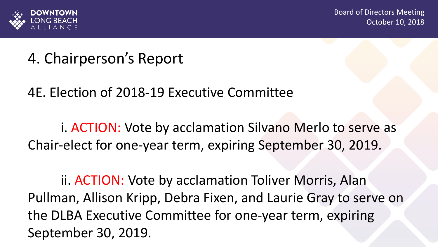

### 4. Chairperson's Report

4E. Election of 2018-19 Executive Committee

i. ACTION: Vote by acclamation Silvano Merlo to serve as Chair-elect for one-year term, expiring September 30, 2019.

ii. ACTION: Vote by acclamation Toliver Morris, Alan Pullman, Allison Kripp, Debra Fixen, and Laurie Gray to serve on the DLBA Executive Committee for one-year term, expiring September 30, 2019.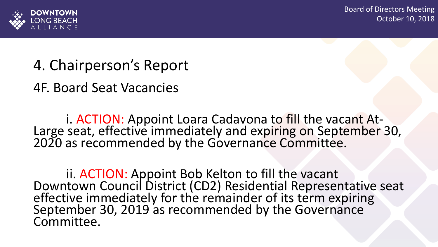

### 4. Chairperson's Report

4F. Board Seat Vacancies

i. ACTION: Appoint Loara Cadavona to fill the vacant At-Large seat, effective immediately and expiring on September 30, 2020 as recommended by the Governance Committee.

ii. ACTION: Appoint Bob Kelton to fill the vacant Downtown Council District (CD2) Residential Representative seat effective immediately for the remainder of its term expiring September 30, 2019 as recommended by the Governance Committee.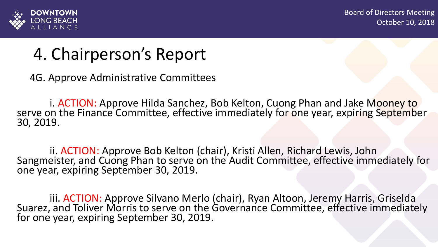

### 4. Chairperson's Report

4G. Approve Administrative Committees

i. ACTION: Approve Hilda Sanchez, Bob Kelton, Cuong Phan and Jake Mooney to serve on the Finance Committee, effective immediately for one year, expiring September 30, 2019.

ii. ACTION: Approve Bob Kelton (chair), Kristi Allen, Richard Lewis, John Sangmeister, and Cuong Phan to serve on the Audit Committee, effective immediately for one year, expiring September 30, 2019.

iii. ACTION: Approve Silvano Merlo (chair), Ryan Altoon, Jeremy Harris, Griselda Suarez, and Toliver Morris to serve on the Governance Committee, effective immediately for one year, expiring September 30, 2019.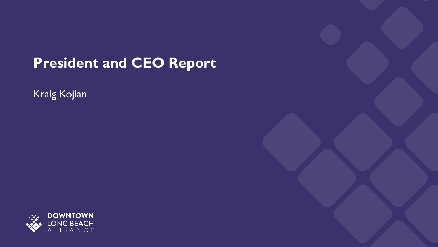### **President and CEO Report**

Kraig Kojian

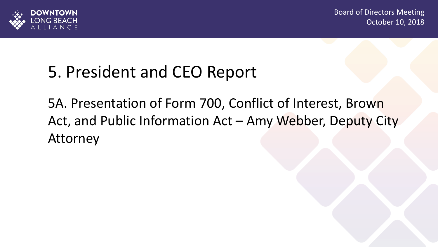

## 5. President and CEO Report

5A. Presentation of Form 700, Conflict of Interest, Brown Act, and Public Information Act – Amy Webber, Deputy City Attorney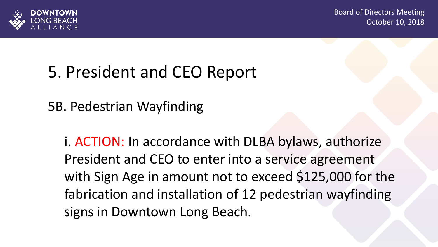



## 5. President and CEO Report

5B. Pedestrian Wayfinding

i. ACTION: In accordance with DLBA bylaws, authorize President and CEO to enter into a service agreement with Sign Age in amount not to exceed \$125,000 for the fabrication and installation of 12 pedestrian wayfinding signs in Downtown Long Beach.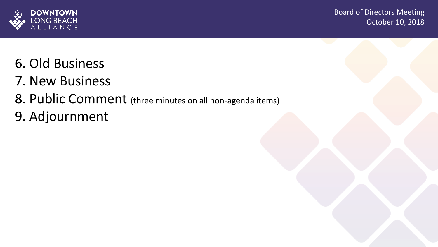

- 6. Old Business
- 7. New Business
- 8. Public Comment (three minutes on all non-agenda items)
- 9. Adjournment